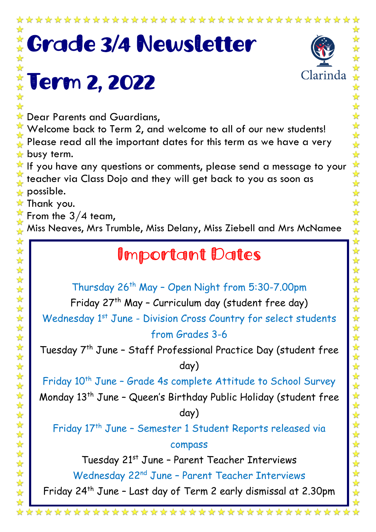